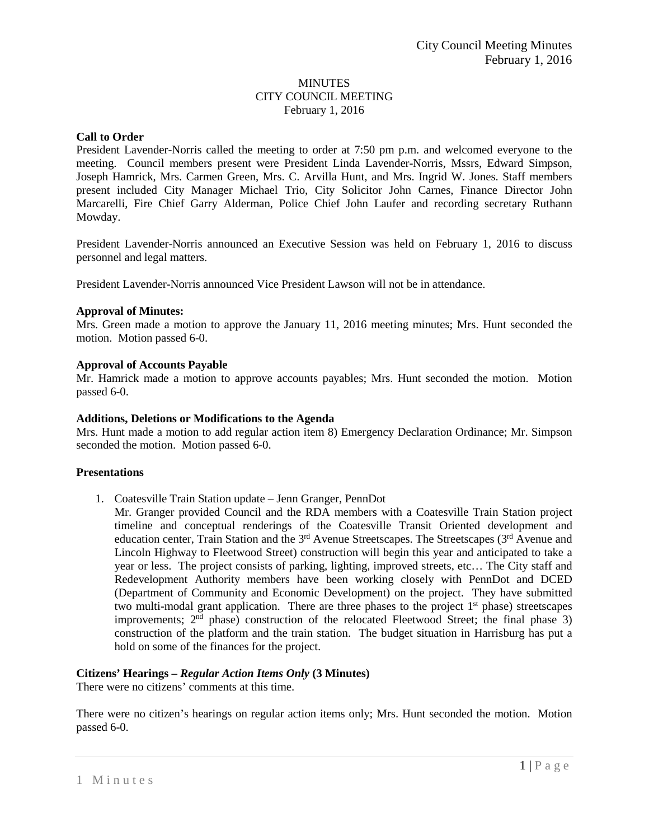# **MINUTES** CITY COUNCIL MEETING February 1, 2016

## **Call to Order**

President Lavender-Norris called the meeting to order at 7:50 pm p.m. and welcomed everyone to the meeting. Council members present were President Linda Lavender-Norris, Mssrs, Edward Simpson, Joseph Hamrick, Mrs. Carmen Green, Mrs. C. Arvilla Hunt, and Mrs. Ingrid W. Jones. Staff members present included City Manager Michael Trio, City Solicitor John Carnes, Finance Director John Marcarelli, Fire Chief Garry Alderman, Police Chief John Laufer and recording secretary Ruthann Mowday.

President Lavender-Norris announced an Executive Session was held on February 1, 2016 to discuss personnel and legal matters.

President Lavender-Norris announced Vice President Lawson will not be in attendance.

## **Approval of Minutes:**

Mrs. Green made a motion to approve the January 11, 2016 meeting minutes; Mrs. Hunt seconded the motion. Motion passed 6-0.

## **Approval of Accounts Payable**

Mr. Hamrick made a motion to approve accounts payables; Mrs. Hunt seconded the motion. Motion passed 6-0.

#### **Additions, Deletions or Modifications to the Agenda**

Mrs. Hunt made a motion to add regular action item 8) Emergency Declaration Ordinance; Mr. Simpson seconded the motion. Motion passed 6-0.

### **Presentations**

- 1. Coatesville Train Station update Jenn Granger, PennDot
	- Mr. Granger provided Council and the RDA members with a Coatesville Train Station project timeline and conceptual renderings of the Coatesville Transit Oriented development and education center, Train Station and the 3<sup>rd</sup> Avenue Streetscapes. The Streetscapes (3<sup>rd</sup> Avenue and Lincoln Highway to Fleetwood Street) construction will begin this year and anticipated to take a year or less. The project consists of parking, lighting, improved streets, etc… The City staff and Redevelopment Authority members have been working closely with PennDot and DCED (Department of Community and Economic Development) on the project. They have submitted two multi-modal grant application. There are three phases to the project 1<sup>st</sup> phase) streetscapes improvements;  $2<sup>nd</sup>$  phase) construction of the relocated Fleetwood Street; the final phase 3) construction of the platform and the train station. The budget situation in Harrisburg has put a hold on some of the finances for the project.

# **Citizens' Hearings –** *Regular Action Items Only* **(3 Minutes)**

There were no citizens' comments at this time.

There were no citizen's hearings on regular action items only; Mrs. Hunt seconded the motion. Motion passed 6-0.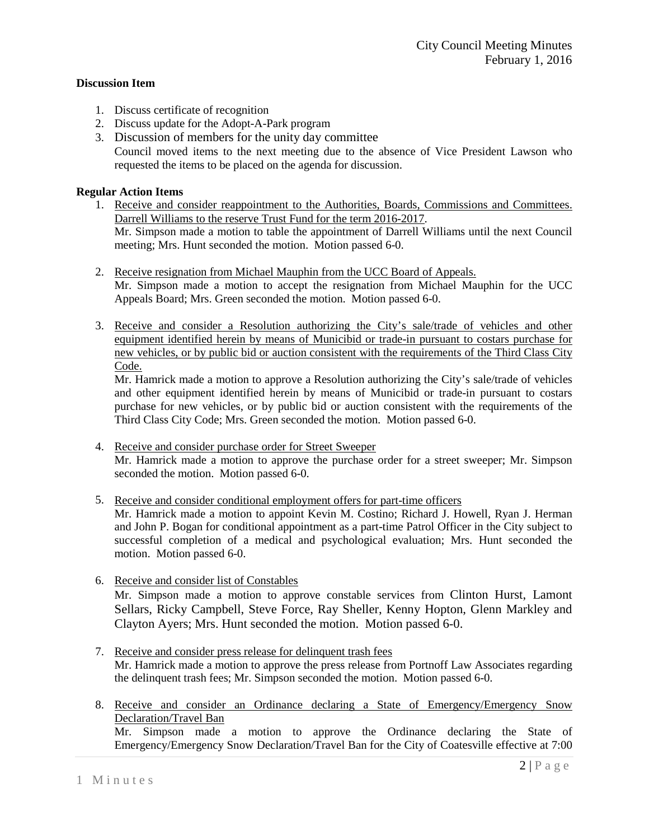## **Discussion Item**

1. Discuss certificate of recognition

motion. Motion passed 6-0.

- 2. Discuss update for the Adopt-A-Park program
- 3. Discussion of members for the unity day committee

Council moved items to the next meeting due to the absence of Vice President Lawson who requested the items to be placed on the agenda for discussion.

# **Regular Action Items**

- 1. Receive and consider reappointment to the Authorities, Boards, Commissions and Committees. Darrell Williams to the reserve Trust Fund for the term 2016-2017. Mr. Simpson made a motion to table the appointment of Darrell Williams until the next Council meeting; Mrs. Hunt seconded the motion. Motion passed 6-0.
- 2. Receive resignation from Michael Mauphin from the UCC Board of Appeals. Mr. Simpson made a motion to accept the resignation from Michael Mauphin for the UCC Appeals Board; Mrs. Green seconded the motion. Motion passed 6-0.
- 3. Receive and consider a Resolution authorizing the City's sale/trade of vehicles and other equipment identified herein by means of Municibid or trade-in pursuant to costars purchase for new vehicles, or by public bid or auction consistent with the requirements of the Third Class City Code.

Mr. Hamrick made a motion to approve a Resolution authorizing the City's sale/trade of vehicles and other equipment identified herein by means of Municibid or trade-in pursuant to costars purchase for new vehicles, or by public bid or auction consistent with the requirements of the Third Class City Code; Mrs. Green seconded the motion. Motion passed 6-0.

- 4. Receive and consider purchase order for Street Sweeper Mr. Hamrick made a motion to approve the purchase order for a street sweeper; Mr. Simpson seconded the motion. Motion passed 6-0.
- 5. Receive and consider conditional employment offers for part-time officers Mr. Hamrick made a motion to appoint Kevin M. Costino; Richard J. Howell, Ryan J. Herman and John P. Bogan for conditional appointment as a part-time Patrol Officer in the City subject to successful completion of a medical and psychological evaluation; Mrs. Hunt seconded the
- 6. Receive and consider list of Constables Mr. Simpson made a motion to approve constable services from Clinton Hurst, Lamont Sellars, Ricky Campbell, Steve Force, Ray Sheller, Kenny Hopton, Glenn Markley and Clayton Ayers; Mrs. Hunt seconded the motion. Motion passed 6-0.
- 7. Receive and consider press release for delinquent trash fees Mr. Hamrick made a motion to approve the press release from Portnoff Law Associates regarding the delinquent trash fees; Mr. Simpson seconded the motion. Motion passed 6-0.
- 8. Receive and consider an Ordinance declaring a State of Emergency/Emergency Snow Declaration/Travel Ban

Mr. Simpson made a motion to approve the Ordinance declaring the State of Emergency/Emergency Snow Declaration/Travel Ban for the City of Coatesville effective at 7:00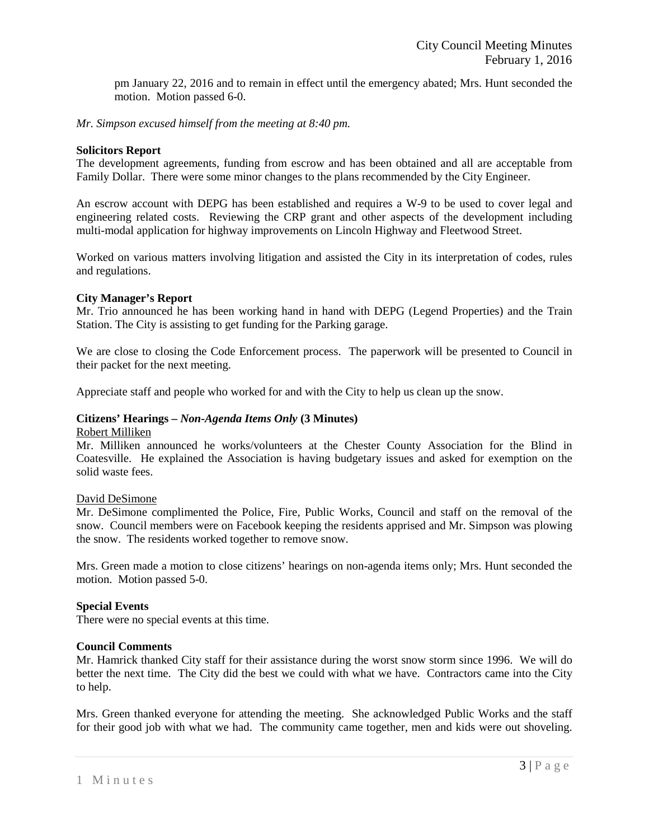pm January 22, 2016 and to remain in effect until the emergency abated; Mrs. Hunt seconded the motion. Motion passed 6-0.

*Mr. Simpson excused himself from the meeting at 8:40 pm.* 

### **Solicitors Report**

The development agreements, funding from escrow and has been obtained and all are acceptable from Family Dollar. There were some minor changes to the plans recommended by the City Engineer.

An escrow account with DEPG has been established and requires a W-9 to be used to cover legal and engineering related costs. Reviewing the CRP grant and other aspects of the development including multi-modal application for highway improvements on Lincoln Highway and Fleetwood Street.

Worked on various matters involving litigation and assisted the City in its interpretation of codes, rules and regulations.

## **City Manager's Report**

Mr. Trio announced he has been working hand in hand with DEPG (Legend Properties) and the Train Station. The City is assisting to get funding for the Parking garage.

We are close to closing the Code Enforcement process. The paperwork will be presented to Council in their packet for the next meeting.

Appreciate staff and people who worked for and with the City to help us clean up the snow.

# **Citizens' Hearings –** *Non-Agenda Items Only* **(3 Minutes)**

#### Robert Milliken

Mr. Milliken announced he works/volunteers at the Chester County Association for the Blind in Coatesville. He explained the Association is having budgetary issues and asked for exemption on the solid waste fees.

#### David DeSimone

Mr. DeSimone complimented the Police, Fire, Public Works, Council and staff on the removal of the snow. Council members were on Facebook keeping the residents apprised and Mr. Simpson was plowing the snow. The residents worked together to remove snow.

Mrs. Green made a motion to close citizens' hearings on non-agenda items only; Mrs. Hunt seconded the motion. Motion passed 5-0.

## **Special Events**

There were no special events at this time.

## **Council Comments**

Mr. Hamrick thanked City staff for their assistance during the worst snow storm since 1996. We will do better the next time. The City did the best we could with what we have. Contractors came into the City to help.

Mrs. Green thanked everyone for attending the meeting. She acknowledged Public Works and the staff for their good job with what we had. The community came together, men and kids were out shoveling.